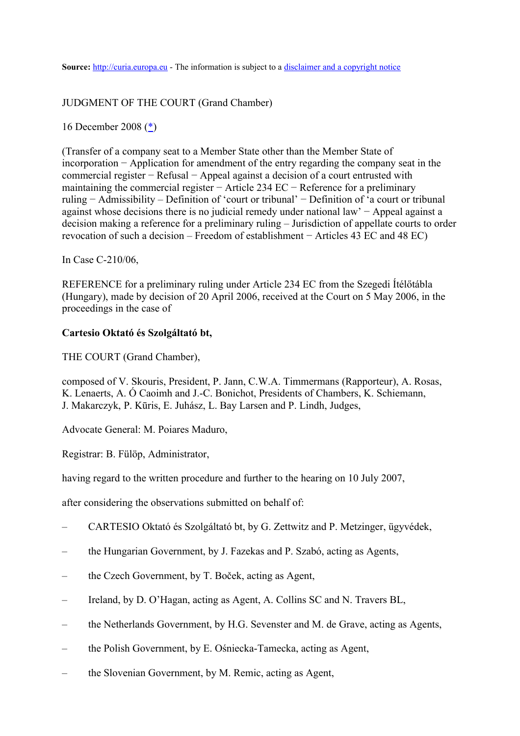**Source:** [http://curia.europa.eu](http://curia.europa.eu/) - The information is subject to a [disclaimer and a copyright notice](http://curia.europa.eu/jcms/jcms/T5_5135?PortalAction_x_000_userLang=en)

#### JUDGMENT OF THE COURT (Grand Chamber)

16 December 2008 [\(\\*\)](http://curia.europa.eu/jurisp/cgi-bin/gettext.pl?where=&lang=en&num=79918783C19060210&doc=T&ouvert=T&seance=ARRET#Footnote*)

(Transfer of a company seat to a Member State other than the Member State of incorporation − Application for amendment of the entry regarding the company seat in the commercial register − Refusal − Appeal against a decision of a court entrusted with maintaining the commercial register − Article 234 EC − Reference for a preliminary ruling − Admissibility – Definition of 'court or tribunal' − Definition of 'a court or tribunal against whose decisions there is no judicial remedy under national law' − Appeal against a decision making a reference for a preliminary ruling – Jurisdiction of appellate courts to order revocation of such a decision – Freedom of establishment − Articles 43 EC and 48 EC)

In Case C-210/06,

REFERENCE for a preliminary ruling under Article 234 EC from the Szegedi Ítélőtábla (Hungary), made by decision of 20 April 2006, received at the Court on 5 May 2006, in the proceedings in the case of

#### **Cartesio Oktató és Szolgáltató bt,**

THE COURT (Grand Chamber),

composed of V. Skouris, President, P. Jann, C.W.A. Timmermans (Rapporteur), A. Rosas, K. Lenaerts, A. Ó Caoimh and J.-C. Bonichot, Presidents of Chambers, K. Schiemann, J. Makarczyk, P. Kūris, E. Juhász, L. Bay Larsen and P. Lindh, Judges,

Advocate General: M. Poiares Maduro,

Registrar: B. Fülöp, Administrator,

having regard to the written procedure and further to the hearing on 10 July 2007,

after considering the observations submitted on behalf of:

- CARTESIO Oktató és Szolgáltató bt, by G. Zettwitz and P. Metzinger, ügyvédek,
- the Hungarian Government, by J. Fazekas and P. Szabó, acting as Agents,
- the Czech Government, by T. Boček, acting as Agent,
- Ireland, by D. O'Hagan, acting as Agent, A. Collins SC and N. Travers BL,
- the Netherlands Government, by H.G. Sevenster and M. de Grave, acting as Agents,
- the Polish Government, by E. Ośniecka-Tamecka, acting as Agent,
- the Slovenian Government, by M. Remic, acting as Agent,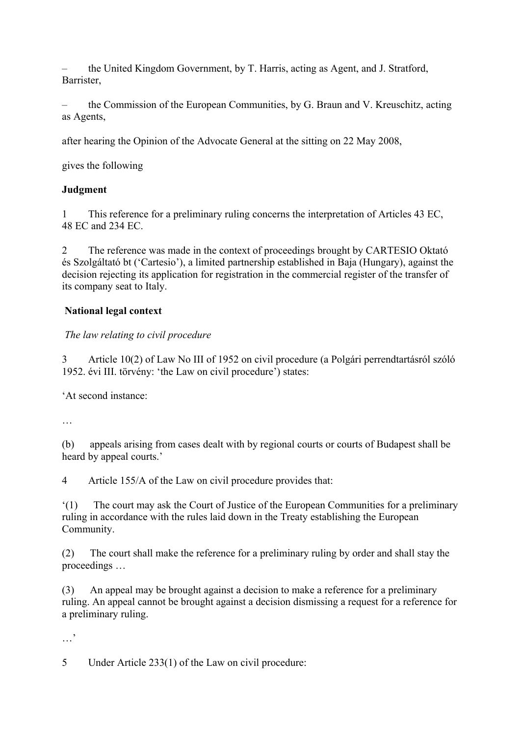– the United Kingdom Government, by T. Harris, acting as Agent, and J. Stratford, Barrister,

– the Commission of the European Communities, by G. Braun and V. Kreuschitz, acting as Agents,

after hearing the Opinion of the Advocate General at the sitting on 22 May 2008,

gives the following

## **Judgment**

1 This reference for a preliminary ruling concerns the interpretation of Articles 43 EC, 48 EC and 234 EC.

2 The reference was made in the context of proceedings brought by CARTESIO Oktató és Szolgáltató bt ('Cartesio'), a limited partnership established in Baja (Hungary), against the decision rejecting its application for registration in the commercial register of the transfer of its company seat to Italy.

# **National legal context**

## *The law relating to civil procedure*

3 Article 10(2) of Law No III of 1952 on civil procedure (a Polgári perrendtartásról szóló 1952. évi III. törvény: 'the Law on civil procedure') states:

'At second instance:

…

(b) appeals arising from cases dealt with by regional courts or courts of Budapest shall be heard by appeal courts.'

4 Article 155/A of the Law on civil procedure provides that:

'(1) The court may ask the Court of Justice of the European Communities for a preliminary ruling in accordance with the rules laid down in the Treaty establishing the European Community.

(2) The court shall make the reference for a preliminary ruling by order and shall stay the proceedings …

(3) An appeal may be brought against a decision to make a reference for a preliminary ruling. An appeal cannot be brought against a decision dismissing a request for a reference for a preliminary ruling.

…'

5 Under Article 233(1) of the Law on civil procedure: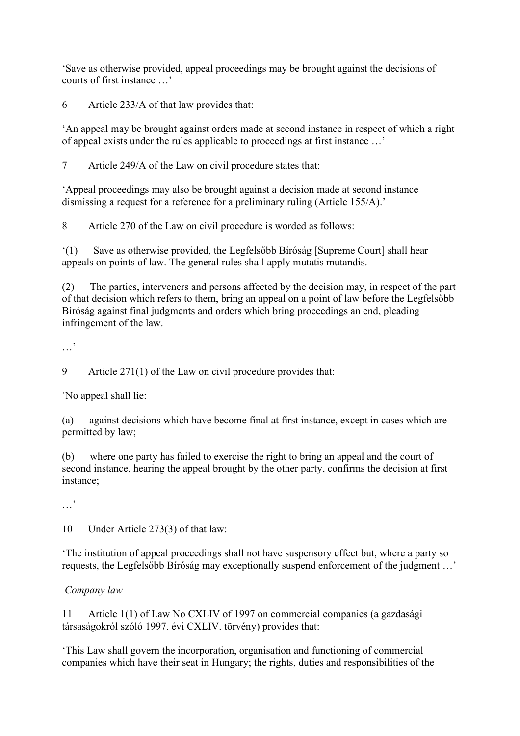'Save as otherwise provided, appeal proceedings may be brought against the decisions of courts of first instance …'

6 Article 233/A of that law provides that:

'An appeal may be brought against orders made at second instance in respect of which a right of appeal exists under the rules applicable to proceedings at first instance …'

7 Article 249/A of the Law on civil procedure states that:

'Appeal proceedings may also be brought against a decision made at second instance dismissing a request for a reference for a preliminary ruling (Article 155/A).'

8 Article 270 of the Law on civil procedure is worded as follows:

'(1) Save as otherwise provided, the Legfelsőbb Bíróság [Supreme Court] shall hear appeals on points of law. The general rules shall apply mutatis mutandis.

(2) The parties, interveners and persons affected by the decision may, in respect of the part of that decision which refers to them, bring an appeal on a point of law before the Legfelsőbb Bíróság against final judgments and orders which bring proceedings an end, pleading infringement of the law.

…'

9 Article 271(1) of the Law on civil procedure provides that:

'No appeal shall lie:

(a) against decisions which have become final at first instance, except in cases which are permitted by law;

(b) where one party has failed to exercise the right to bring an appeal and the court of second instance, hearing the appeal brought by the other party, confirms the decision at first instance;

…'

10 Under Article 273(3) of that law:

'The institution of appeal proceedings shall not have suspensory effect but, where a party so requests, the Legfelsőbb Bíróság may exceptionally suspend enforcement of the judgment …'

# *Company law*

11 Article 1(1) of Law No CXLIV of 1997 on commercial companies (a gazdasági társaságokról szóló 1997. évi CXLIV. törvény) provides that:

'This Law shall govern the incorporation, organisation and functioning of commercial companies which have their seat in Hungary; the rights, duties and responsibilities of the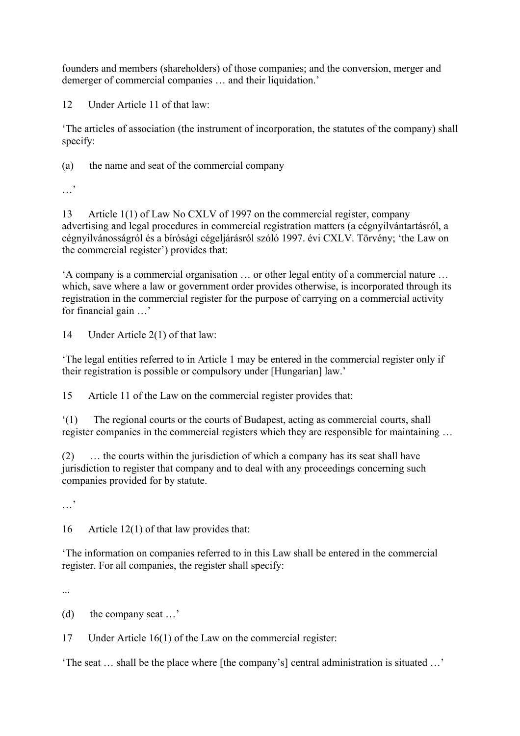founders and members (shareholders) of those companies; and the conversion, merger and demerger of commercial companies … and their liquidation.'

12 Under Article 11 of that law:

'The articles of association (the instrument of incorporation, the statutes of the company) shall specify:

(a) the name and seat of the commercial company

…'

13 Article 1(1) of Law No CXLV of 1997 on the commercial register, company advertising and legal procedures in commercial registration matters (a cégnyilvántartásról, a cégnyilvánosságról és a bírósági cégeljárásról szóló 1997. évi CXLV. Törvény; 'the Law on the commercial register') provides that:

'A company is a commercial organisation … or other legal entity of a commercial nature … which, save where a law or government order provides otherwise, is incorporated through its registration in the commercial register for the purpose of carrying on a commercial activity for financial gain …'

14 Under Article 2(1) of that law:

'The legal entities referred to in Article 1 may be entered in the commercial register only if their registration is possible or compulsory under [Hungarian] law.'

15 Article 11 of the Law on the commercial register provides that:

'(1) The regional courts or the courts of Budapest, acting as commercial courts, shall register companies in the commercial registers which they are responsible for maintaining …

(2) … the courts within the jurisdiction of which a company has its seat shall have jurisdiction to register that company and to deal with any proceedings concerning such companies provided for by statute.

…'

16 Article 12(1) of that law provides that:

'The information on companies referred to in this Law shall be entered in the commercial register. For all companies, the register shall specify:

...

(d) the company seat …'

17 Under Article 16(1) of the Law on the commercial register:

'The seat … shall be the place where [the company's] central administration is situated …'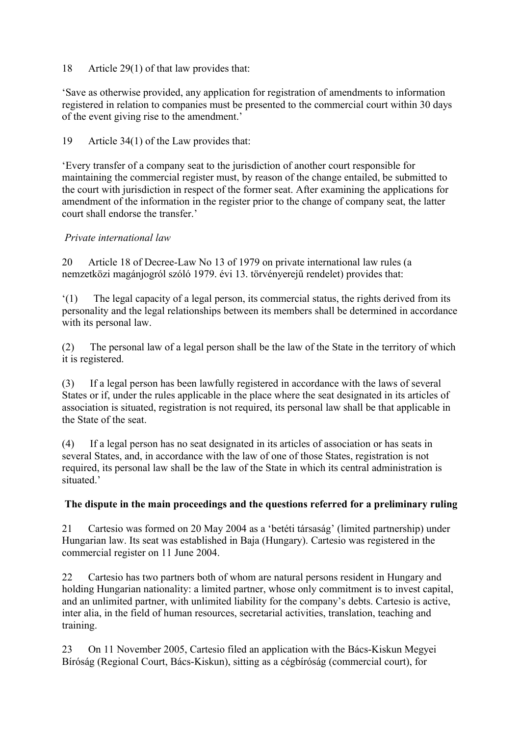18 Article 29(1) of that law provides that:

'Save as otherwise provided, any application for registration of amendments to information registered in relation to companies must be presented to the commercial court within 30 days of the event giving rise to the amendment.'

19 Article 34(1) of the Law provides that:

'Every transfer of a company seat to the jurisdiction of another court responsible for maintaining the commercial register must, by reason of the change entailed, be submitted to the court with jurisdiction in respect of the former seat. After examining the applications for amendment of the information in the register prior to the change of company seat, the latter court shall endorse the transfer.'

#### *Private international law*

20 Article 18 of Decree-Law No 13 of 1979 on private international law rules (a nemzetközi magánjogról szóló 1979. évi 13. törvényerejű rendelet) provides that:

 $(1)$  The legal capacity of a legal person, its commercial status, the rights derived from its personality and the legal relationships between its members shall be determined in accordance with its personal law.

(2) The personal law of a legal person shall be the law of the State in the territory of which it is registered.

(3) If a legal person has been lawfully registered in accordance with the laws of several States or if, under the rules applicable in the place where the seat designated in its articles of association is situated, registration is not required, its personal law shall be that applicable in the State of the seat.

(4) If a legal person has no seat designated in its articles of association or has seats in several States, and, in accordance with the law of one of those States, registration is not required, its personal law shall be the law of the State in which its central administration is situated.'

#### **The dispute in the main proceedings and the questions referred for a preliminary ruling**

21 Cartesio was formed on 20 May 2004 as a 'betéti társaság' (limited partnership) under Hungarian law. Its seat was established in Baja (Hungary). Cartesio was registered in the commercial register on 11 June 2004.

22 Cartesio has two partners both of whom are natural persons resident in Hungary and holding Hungarian nationality: a limited partner, whose only commitment is to invest capital, and an unlimited partner, with unlimited liability for the company's debts. Cartesio is active, inter alia, in the field of human resources, secretarial activities, translation, teaching and training.

23 On 11 November 2005, Cartesio filed an application with the Bács-Kiskun Megyei Bíróság (Regional Court, Bács-Kiskun), sitting as a cégbíróság (commercial court), for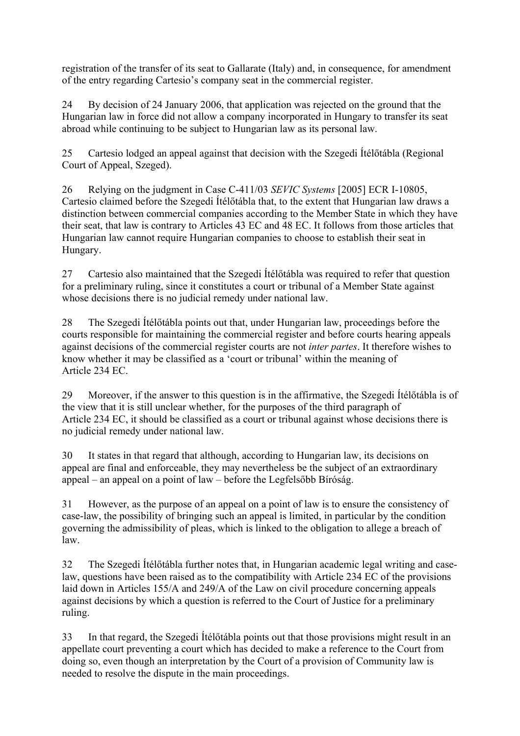registration of the transfer of its seat to Gallarate (Italy) and, in consequence, for amendment of the entry regarding Cartesio's company seat in the commercial register.

24 By decision of 24 January 2006, that application was rejected on the ground that the Hungarian law in force did not allow a company incorporated in Hungary to transfer its seat abroad while continuing to be subject to Hungarian law as its personal law.

25 Cartesio lodged an appeal against that decision with the Szegedi Ítélőtábla (Regional Court of Appeal, Szeged).

26 Relying on the judgment in Case C-411/03 *SEVIC Systems* [2005] ECR I-10805, Cartesio claimed before the Szegedi Ítélőtábla that, to the extent that Hungarian law draws a distinction between commercial companies according to the Member State in which they have their seat, that law is contrary to Articles 43 EC and 48 EC. It follows from those articles that Hungarian law cannot require Hungarian companies to choose to establish their seat in Hungary.

27 Cartesio also maintained that the Szegedi Ítélőtábla was required to refer that question for a preliminary ruling, since it constitutes a court or tribunal of a Member State against whose decisions there is no judicial remedy under national law.

28 The Szegedi Ítélőtábla points out that, under Hungarian law, proceedings before the courts responsible for maintaining the commercial register and before courts hearing appeals against decisions of the commercial register courts are not *inter partes*. It therefore wishes to know whether it may be classified as a 'court or tribunal' within the meaning of Article 234 EC.

29 Moreover, if the answer to this question is in the affirmative, the Szegedi Ítélőtábla is of the view that it is still unclear whether, for the purposes of the third paragraph of Article 234 EC, it should be classified as a court or tribunal against whose decisions there is no judicial remedy under national law.

30 It states in that regard that although, according to Hungarian law, its decisions on appeal are final and enforceable, they may nevertheless be the subject of an extraordinary appeal – an appeal on a point of law – before the Legfelsőbb Bíróság.

31 However, as the purpose of an appeal on a point of law is to ensure the consistency of case-law, the possibility of bringing such an appeal is limited, in particular by the condition governing the admissibility of pleas, which is linked to the obligation to allege a breach of law.

32 The Szegedi Ítélőtábla further notes that, in Hungarian academic legal writing and caselaw, questions have been raised as to the compatibility with Article 234 EC of the provisions laid down in Articles 155/A and 249/A of the Law on civil procedure concerning appeals against decisions by which a question is referred to the Court of Justice for a preliminary ruling.

33 In that regard, the Szegedi Ítélőtábla points out that those provisions might result in an appellate court preventing a court which has decided to make a reference to the Court from doing so, even though an interpretation by the Court of a provision of Community law is needed to resolve the dispute in the main proceedings.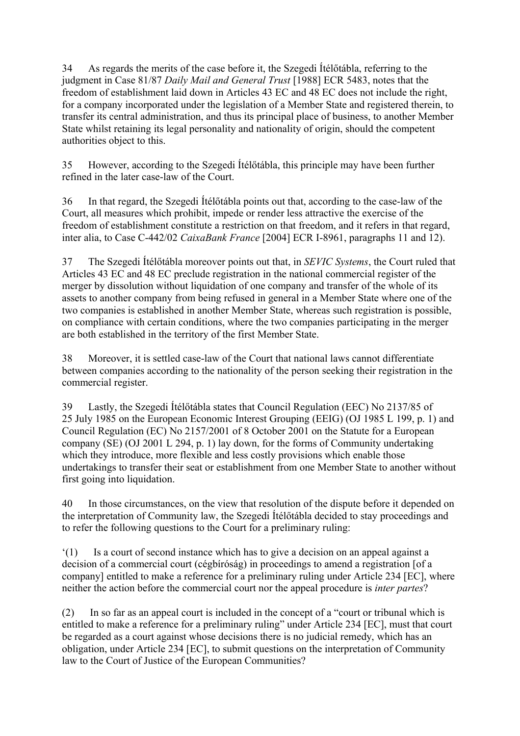34 As regards the merits of the case before it, the Szegedi Ítélőtábla, referring to the judgment in Case 81/87 *Daily Mail and General Trust* [1988] ECR 5483, notes that the freedom of establishment laid down in Articles 43 EC and 48 EC does not include the right, for a company incorporated under the legislation of a Member State and registered therein, to transfer its central administration, and thus its principal place of business, to another Member State whilst retaining its legal personality and nationality of origin, should the competent authorities object to this.

35 However, according to the Szegedi Ítélőtábla, this principle may have been further refined in the later case-law of the Court.

36 In that regard, the Szegedi Ítélőtábla points out that, according to the case-law of the Court, all measures which prohibit, impede or render less attractive the exercise of the freedom of establishment constitute a restriction on that freedom, and it refers in that regard, inter alia, to Case C-442/02 *CaixaBank France* [2004] ECR I-8961, paragraphs 11 and 12).

37 The Szegedi Ítélőtábla moreover points out that, in *SEVIC Systems*, the Court ruled that Articles 43 EC and 48 EC preclude registration in the national commercial register of the merger by dissolution without liquidation of one company and transfer of the whole of its assets to another company from being refused in general in a Member State where one of the two companies is established in another Member State, whereas such registration is possible, on compliance with certain conditions, where the two companies participating in the merger are both established in the territory of the first Member State.

38 Moreover, it is settled case-law of the Court that national laws cannot differentiate between companies according to the nationality of the person seeking their registration in the commercial register.

39 Lastly, the Szegedi Ítélőtábla states that Council Regulation (EEC) No 2137/85 of 25 July 1985 on the European Economic Interest Grouping (EEIG) (OJ 1985 L 199, p. 1) and Council Regulation (EC) No 2157/2001 of 8 October 2001 on the Statute for a European company (SE) (OJ 2001 L 294, p. 1) lay down, for the forms of Community undertaking which they introduce, more flexible and less costly provisions which enable those undertakings to transfer their seat or establishment from one Member State to another without first going into liquidation.

40 In those circumstances, on the view that resolution of the dispute before it depended on the interpretation of Community law, the Szegedi Ítélőtábla decided to stay proceedings and to refer the following questions to the Court for a preliminary ruling:

'(1) Is a court of second instance which has to give a decision on an appeal against a decision of a commercial court (cégbíróság) in proceedings to amend a registration [of a company] entitled to make a reference for a preliminary ruling under Article 234 [EC], where neither the action before the commercial court nor the appeal procedure is *inter partes*?

(2) In so far as an appeal court is included in the concept of a "court or tribunal which is entitled to make a reference for a preliminary ruling" under Article 234 [EC], must that court be regarded as a court against whose decisions there is no judicial remedy, which has an obligation, under Article 234 [EC], to submit questions on the interpretation of Community law to the Court of Justice of the European Communities?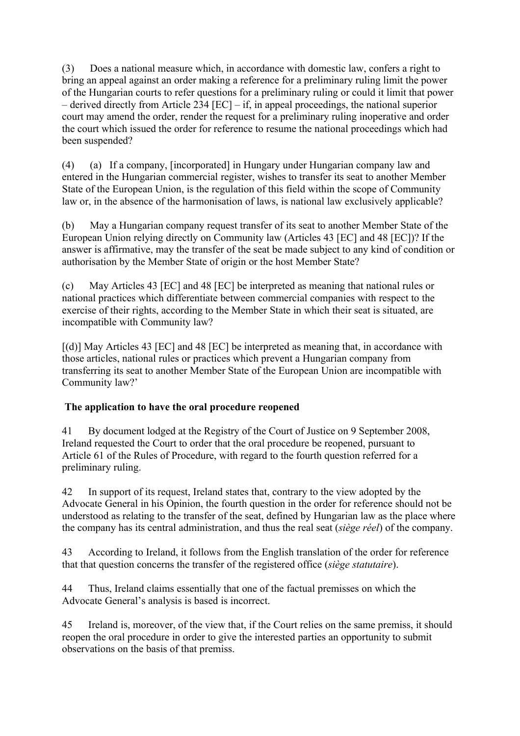(3) Does a national measure which, in accordance with domestic law, confers a right to bring an appeal against an order making a reference for a preliminary ruling limit the power of the Hungarian courts to refer questions for a preliminary ruling or could it limit that power – derived directly from Article 234 [EC] – if, in appeal proceedings, the national superior court may amend the order, render the request for a preliminary ruling inoperative and order the court which issued the order for reference to resume the national proceedings which had been suspended?

(4) (a) If a company, [incorporated] in Hungary under Hungarian company law and entered in the Hungarian commercial register, wishes to transfer its seat to another Member State of the European Union, is the regulation of this field within the scope of Community law or, in the absence of the harmonisation of laws, is national law exclusively applicable?

(b) May a Hungarian company request transfer of its seat to another Member State of the European Union relying directly on Community law (Articles 43 [EC] and 48 [EC])? If the answer is affirmative, may the transfer of the seat be made subject to any kind of condition or authorisation by the Member State of origin or the host Member State?

(c) May Articles 43 [EC] and 48 [EC] be interpreted as meaning that national rules or national practices which differentiate between commercial companies with respect to the exercise of their rights, according to the Member State in which their seat is situated, are incompatible with Community law?

[(d)] May Articles 43 [EC] and 48 [EC] be interpreted as meaning that, in accordance with those articles, national rules or practices which prevent a Hungarian company from transferring its seat to another Member State of the European Union are incompatible with Community law?'

### **The application to have the oral procedure reopened**

41 By document lodged at the Registry of the Court of Justice on 9 September 2008, Ireland requested the Court to order that the oral procedure be reopened, pursuant to Article 61 of the Rules of Procedure, with regard to the fourth question referred for a preliminary ruling.

42 In support of its request, Ireland states that, contrary to the view adopted by the Advocate General in his Opinion, the fourth question in the order for reference should not be understood as relating to the transfer of the seat, defined by Hungarian law as the place where the company has its central administration, and thus the real seat (*siège réel*) of the company.

43 According to Ireland, it follows from the English translation of the order for reference that that question concerns the transfer of the registered office (*siège statutaire*).

44 Thus, Ireland claims essentially that one of the factual premisses on which the Advocate General's analysis is based is incorrect.

45 Ireland is, moreover, of the view that, if the Court relies on the same premiss, it should reopen the oral procedure in order to give the interested parties an opportunity to submit observations on the basis of that premiss.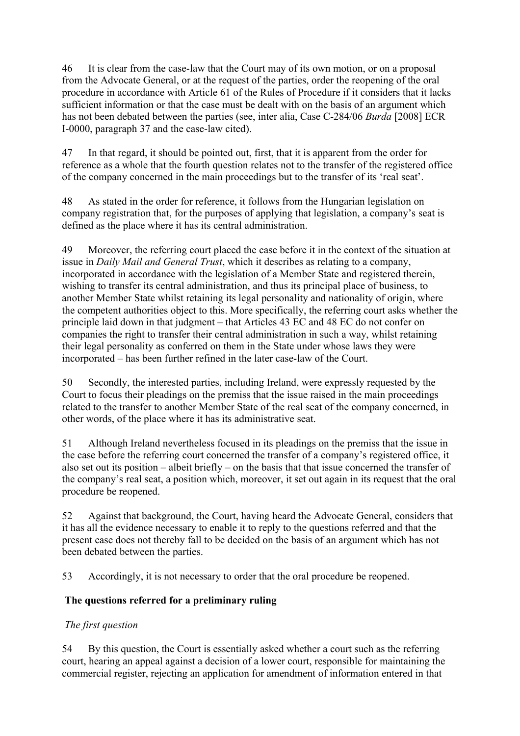46 It is clear from the case-law that the Court may of its own motion, or on a proposal from the Advocate General, or at the request of the parties, order the reopening of the oral procedure in accordance with Article 61 of the Rules of Procedure if it considers that it lacks sufficient information or that the case must be dealt with on the basis of an argument which has not been debated between the parties (see, inter alia, Case C-284/06 *Burda* [2008] ECR I-0000, paragraph 37 and the case-law cited).

47 In that regard, it should be pointed out, first, that it is apparent from the order for reference as a whole that the fourth question relates not to the transfer of the registered office of the company concerned in the main proceedings but to the transfer of its 'real seat'.

48 As stated in the order for reference, it follows from the Hungarian legislation on company registration that, for the purposes of applying that legislation, a company's seat is defined as the place where it has its central administration.

49 Moreover, the referring court placed the case before it in the context of the situation at issue in *Daily Mail and General Trust*, which it describes as relating to a company, incorporated in accordance with the legislation of a Member State and registered therein, wishing to transfer its central administration, and thus its principal place of business, to another Member State whilst retaining its legal personality and nationality of origin, where the competent authorities object to this. More specifically, the referring court asks whether the principle laid down in that judgment – that Articles 43 EC and 48 EC do not confer on companies the right to transfer their central administration in such a way, whilst retaining their legal personality as conferred on them in the State under whose laws they were incorporated – has been further refined in the later case-law of the Court.

50 Secondly, the interested parties, including Ireland, were expressly requested by the Court to focus their pleadings on the premiss that the issue raised in the main proceedings related to the transfer to another Member State of the real seat of the company concerned, in other words, of the place where it has its administrative seat.

51 Although Ireland nevertheless focused in its pleadings on the premiss that the issue in the case before the referring court concerned the transfer of a company's registered office, it also set out its position – albeit briefly – on the basis that that issue concerned the transfer of the company's real seat, a position which, moreover, it set out again in its request that the oral procedure be reopened.

52 Against that background, the Court, having heard the Advocate General, considers that it has all the evidence necessary to enable it to reply to the questions referred and that the present case does not thereby fall to be decided on the basis of an argument which has not been debated between the parties.

53 Accordingly, it is not necessary to order that the oral procedure be reopened.

### **The questions referred for a preliminary ruling**

### *The first question*

54 By this question, the Court is essentially asked whether a court such as the referring court, hearing an appeal against a decision of a lower court, responsible for maintaining the commercial register, rejecting an application for amendment of information entered in that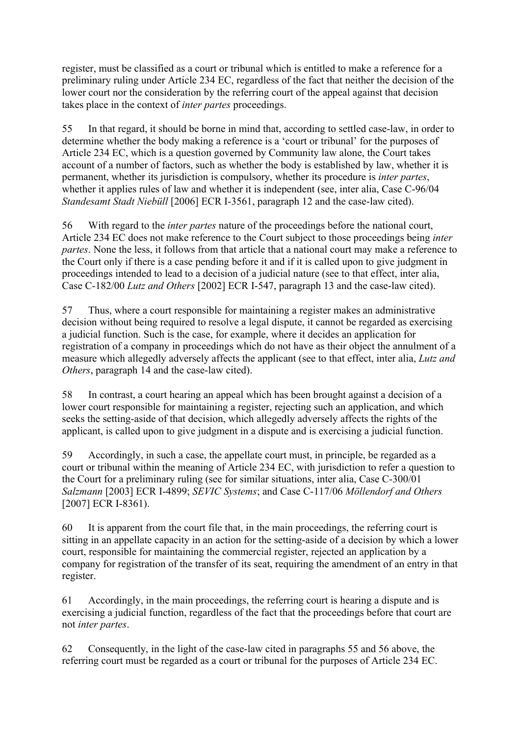register, must be classified as a court or tribunal which is entitled to make a reference for a preliminary ruling under Article 234 EC, regardless of the fact that neither the decision of the lower court nor the consideration by the referring court of the appeal against that decision takes place in the context of *inter partes* proceedings.

55 In that regard, it should be borne in mind that, according to settled case-law, in order to determine whether the body making a reference is a 'court or tribunal' for the purposes of Article 234 EC, which is a question governed by Community law alone, the Court takes account of a number of factors, such as whether the body is established by law, whether it is permanent, whether its jurisdiction is compulsory, whether its procedure is *inter partes*, whether it applies rules of law and whether it is independent (see, inter alia, Case C-96/04) *Standesamt Stadt Niebüll* [2006] ECR I-3561, paragraph 12 and the case-law cited).

56 With regard to the *inter partes* nature of the proceedings before the national court, Article 234 EC does not make reference to the Court subject to those proceedings being *inter partes*. None the less, it follows from that article that a national court may make a reference to the Court only if there is a case pending before it and if it is called upon to give judgment in proceedings intended to lead to a decision of a judicial nature (see to that effect, inter alia, Case C-182/00 *Lutz and Others* [2002] ECR I-547, paragraph 13 and the case-law cited).

57 Thus, where a court responsible for maintaining a register makes an administrative decision without being required to resolve a legal dispute, it cannot be regarded as exercising a judicial function. Such is the case, for example, where it decides an application for registration of a company in proceedings which do not have as their object the annulment of a measure which allegedly adversely affects the applicant (see to that effect, inter alia, *Lutz and Others*, paragraph 14 and the case-law cited).

58 In contrast, a court hearing an appeal which has been brought against a decision of a lower court responsible for maintaining a register, rejecting such an application, and which seeks the setting-aside of that decision, which allegedly adversely affects the rights of the applicant, is called upon to give judgment in a dispute and is exercising a judicial function.

59 Accordingly, in such a case, the appellate court must, in principle, be regarded as a court or tribunal within the meaning of Article 234 EC, with jurisdiction to refer a question to the Court for a preliminary ruling (see for similar situations, inter alia, Case C-300/01 *Salzmann* [2003] ECR I-4899; *SEVIC Systems*; and Case C-117/06 *Möllendorf and Others* [2007] ECR I-8361).

60 It is apparent from the court file that, in the main proceedings, the referring court is sitting in an appellate capacity in an action for the setting-aside of a decision by which a lower court, responsible for maintaining the commercial register, rejected an application by a company for registration of the transfer of its seat, requiring the amendment of an entry in that register.

61 Accordingly, in the main proceedings, the referring court is hearing a dispute and is exercising a judicial function, regardless of the fact that the proceedings before that court are not *inter partes*.

62 Consequently, in the light of the case-law cited in paragraphs 55 and 56 above, the referring court must be regarded as a court or tribunal for the purposes of Article 234 EC.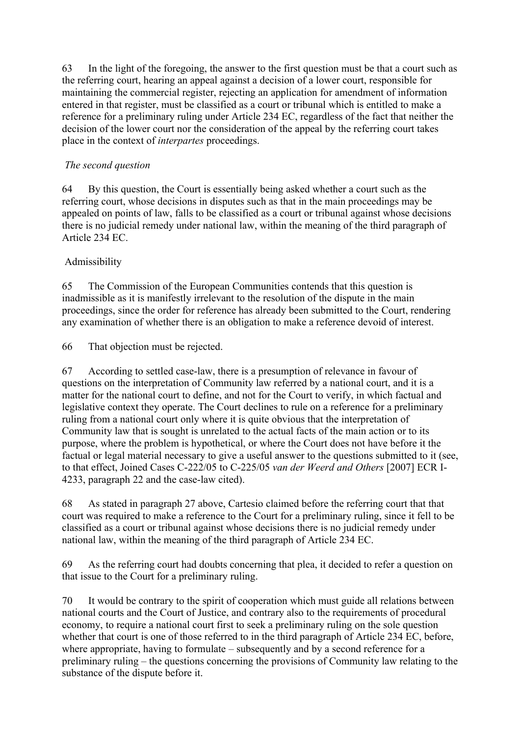63 In the light of the foregoing, the answer to the first question must be that a court such as the referring court, hearing an appeal against a decision of a lower court, responsible for maintaining the commercial register, rejecting an application for amendment of information entered in that register, must be classified as a court or tribunal which is entitled to make a reference for a preliminary ruling under Article 234 EC, regardless of the fact that neither the decision of the lower court nor the consideration of the appeal by the referring court takes place in the context of *interpartes* proceedings.

#### *The second question*

64 By this question, the Court is essentially being asked whether a court such as the referring court, whose decisions in disputes such as that in the main proceedings may be appealed on points of law, falls to be classified as a court or tribunal against whose decisions there is no judicial remedy under national law, within the meaning of the third paragraph of Article 234 EC.

#### Admissibility

65 The Commission of the European Communities contends that this question is inadmissible as it is manifestly irrelevant to the resolution of the dispute in the main proceedings, since the order for reference has already been submitted to the Court, rendering any examination of whether there is an obligation to make a reference devoid of interest.

66 That objection must be rejected.

67 According to settled case-law, there is a presumption of relevance in favour of questions on the interpretation of Community law referred by a national court, and it is a matter for the national court to define, and not for the Court to verify, in which factual and legislative context they operate. The Court declines to rule on a reference for a preliminary ruling from a national court only where it is quite obvious that the interpretation of Community law that is sought is unrelated to the actual facts of the main action or to its purpose, where the problem is hypothetical, or where the Court does not have before it the factual or legal material necessary to give a useful answer to the questions submitted to it (see, to that effect, Joined Cases C-222/05 to C-225/05 *van der Weerd and Others* [2007] ECR I-4233, paragraph 22 and the case-law cited).

68 As stated in paragraph 27 above, Cartesio claimed before the referring court that that court was required to make a reference to the Court for a preliminary ruling, since it fell to be classified as a court or tribunal against whose decisions there is no judicial remedy under national law, within the meaning of the third paragraph of Article 234 EC.

69 As the referring court had doubts concerning that plea, it decided to refer a question on that issue to the Court for a preliminary ruling.

70 It would be contrary to the spirit of cooperation which must guide all relations between national courts and the Court of Justice, and contrary also to the requirements of procedural economy, to require a national court first to seek a preliminary ruling on the sole question whether that court is one of those referred to in the third paragraph of Article 234 EC, before, where appropriate, having to formulate – subsequently and by a second reference for a preliminary ruling – the questions concerning the provisions of Community law relating to the substance of the dispute before it.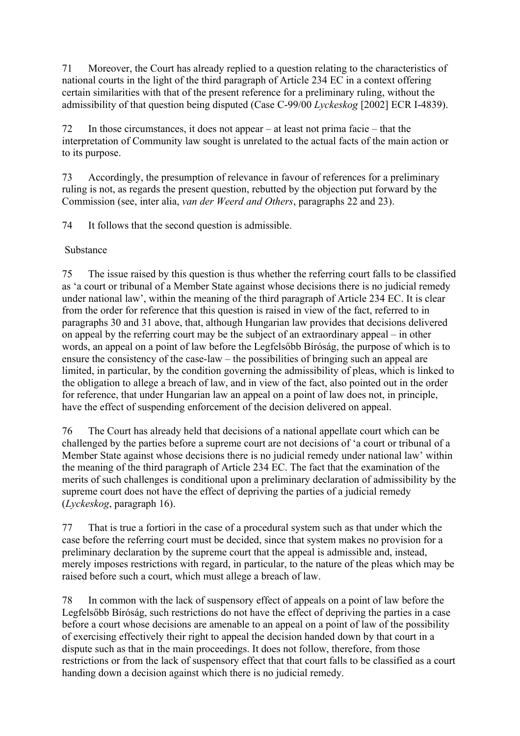71 Moreover, the Court has already replied to a question relating to the characteristics of national courts in the light of the third paragraph of Article 234 EC in a context offering certain similarities with that of the present reference for a preliminary ruling, without the admissibility of that question being disputed (Case C-99/00 *Lyckeskog* [2002] ECR I-4839).

72 In those circumstances, it does not appear – at least not prima facie – that the interpretation of Community law sought is unrelated to the actual facts of the main action or to its purpose.

73 Accordingly, the presumption of relevance in favour of references for a preliminary ruling is not, as regards the present question, rebutted by the objection put forward by the Commission (see, inter alia, *van der Weerd and Others*, paragraphs 22 and 23).

74 It follows that the second question is admissible.

Substance

75 The issue raised by this question is thus whether the referring court falls to be classified as 'a court or tribunal of a Member State against whose decisions there is no judicial remedy under national law', within the meaning of the third paragraph of Article 234 EC. It is clear from the order for reference that this question is raised in view of the fact, referred to in paragraphs 30 and 31 above, that, although Hungarian law provides that decisions delivered on appeal by the referring court may be the subject of an extraordinary appeal – in other words, an appeal on a point of law before the Legfelsőbb Bíróság, the purpose of which is to ensure the consistency of the case-law – the possibilities of bringing such an appeal are limited, in particular, by the condition governing the admissibility of pleas, which is linked to the obligation to allege a breach of law, and in view of the fact, also pointed out in the order for reference, that under Hungarian law an appeal on a point of law does not, in principle, have the effect of suspending enforcement of the decision delivered on appeal.

76 The Court has already held that decisions of a national appellate court which can be challenged by the parties before a supreme court are not decisions of 'a court or tribunal of a Member State against whose decisions there is no judicial remedy under national law' within the meaning of the third paragraph of Article 234 EC. The fact that the examination of the merits of such challenges is conditional upon a preliminary declaration of admissibility by the supreme court does not have the effect of depriving the parties of a judicial remedy (*Lyckeskog*, paragraph 16).

77 That is true a fortiori in the case of a procedural system such as that under which the case before the referring court must be decided, since that system makes no provision for a preliminary declaration by the supreme court that the appeal is admissible and, instead, merely imposes restrictions with regard, in particular, to the nature of the pleas which may be raised before such a court, which must allege a breach of law.

78 In common with the lack of suspensory effect of appeals on a point of law before the Legfelsőbb Bíróság, such restrictions do not have the effect of depriving the parties in a case before a court whose decisions are amenable to an appeal on a point of law of the possibility of exercising effectively their right to appeal the decision handed down by that court in a dispute such as that in the main proceedings. It does not follow, therefore, from those restrictions or from the lack of suspensory effect that that court falls to be classified as a court handing down a decision against which there is no judicial remedy.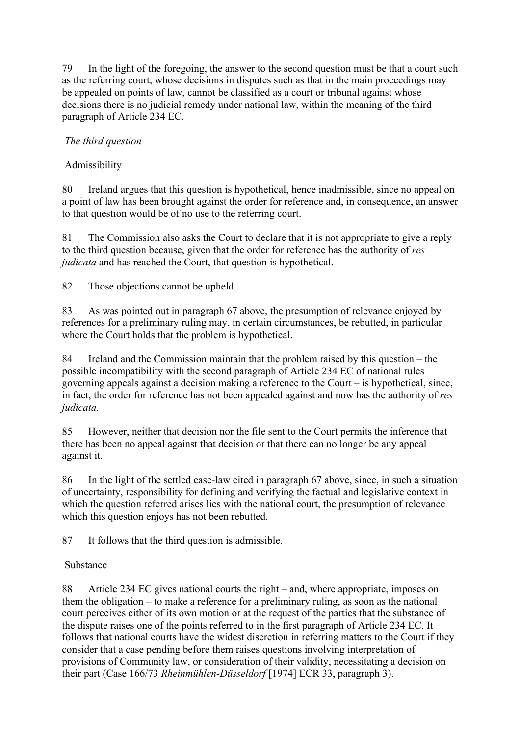79 In the light of the foregoing, the answer to the second question must be that a court such as the referring court, whose decisions in disputes such as that in the main proceedings may be appealed on points of law, cannot be classified as a court or tribunal against whose decisions there is no judicial remedy under national law, within the meaning of the third paragraph of Article 234 EC.

### *The third question*

## Admissibility

80 Ireland argues that this question is hypothetical, hence inadmissible, since no appeal on a point of law has been brought against the order for reference and, in consequence, an answer to that question would be of no use to the referring court.

81 The Commission also asks the Court to declare that it is not appropriate to give a reply to the third question because, given that the order for reference has the authority of *res judicata* and has reached the Court, that question is hypothetical.

82 Those objections cannot be upheld.

83 As was pointed out in paragraph 67 above, the presumption of relevance enjoyed by references for a preliminary ruling may, in certain circumstances, be rebutted, in particular where the Court holds that the problem is hypothetical.

84 Ireland and the Commission maintain that the problem raised by this question – the possible incompatibility with the second paragraph of Article 234 EC of national rules governing appeals against a decision making a reference to the Court – is hypothetical, since, in fact, the order for reference has not been appealed against and now has the authority of *res judicata*.

85 However, neither that decision nor the file sent to the Court permits the inference that there has been no appeal against that decision or that there can no longer be any appeal against it.

86 In the light of the settled case-law cited in paragraph 67 above, since, in such a situation of uncertainty, responsibility for defining and verifying the factual and legislative context in which the question referred arises lies with the national court, the presumption of relevance which this question enjoys has not been rebutted.

87 It follows that the third question is admissible.

### Substance

88 Article 234 EC gives national courts the right – and, where appropriate, imposes on them the obligation – to make a reference for a preliminary ruling, as soon as the national court perceives either of its own motion or at the request of the parties that the substance of the dispute raises one of the points referred to in the first paragraph of Article 234 EC. It follows that national courts have the widest discretion in referring matters to the Court if they consider that a case pending before them raises questions involving interpretation of provisions of Community law, or consideration of their validity, necessitating a decision on their part (Case 166/73 *Rheinmühlen-Düsseldorf* [1974] ECR 33, paragraph 3).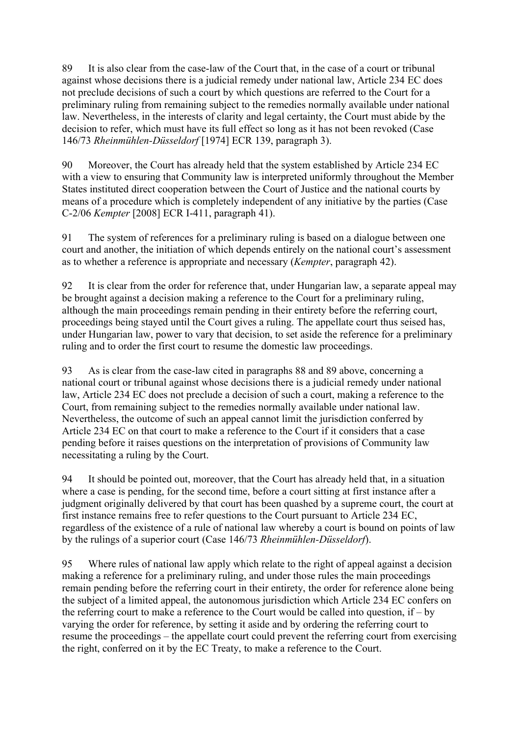89 It is also clear from the case-law of the Court that, in the case of a court or tribunal against whose decisions there is a judicial remedy under national law, Article 234 EC does not preclude decisions of such a court by which questions are referred to the Court for a preliminary ruling from remaining subject to the remedies normally available under national law. Nevertheless, in the interests of clarity and legal certainty, the Court must abide by the decision to refer, which must have its full effect so long as it has not been revoked (Case 146/73 *Rheinmühlen-Düsseldorf* [1974] ECR 139, paragraph 3).

90 Moreover, the Court has already held that the system established by Article 234 EC with a view to ensuring that Community law is interpreted uniformly throughout the Member States instituted direct cooperation between the Court of Justice and the national courts by means of a procedure which is completely independent of any initiative by the parties (Case C-2/06 *Kempter* [2008] ECR I-411, paragraph 41).

91 The system of references for a preliminary ruling is based on a dialogue between one court and another, the initiation of which depends entirely on the national court's assessment as to whether a reference is appropriate and necessary (*Kempter*, paragraph 42).

92 It is clear from the order for reference that, under Hungarian law, a separate appeal may be brought against a decision making a reference to the Court for a preliminary ruling, although the main proceedings remain pending in their entirety before the referring court, proceedings being stayed until the Court gives a ruling. The appellate court thus seised has, under Hungarian law, power to vary that decision, to set aside the reference for a preliminary ruling and to order the first court to resume the domestic law proceedings.

93 As is clear from the case-law cited in paragraphs 88 and 89 above, concerning a national court or tribunal against whose decisions there is a judicial remedy under national law, Article 234 EC does not preclude a decision of such a court, making a reference to the Court, from remaining subject to the remedies normally available under national law. Nevertheless, the outcome of such an appeal cannot limit the jurisdiction conferred by Article 234 EC on that court to make a reference to the Court if it considers that a case pending before it raises questions on the interpretation of provisions of Community law necessitating a ruling by the Court.

94 It should be pointed out, moreover, that the Court has already held that, in a situation where a case is pending, for the second time, before a court sitting at first instance after a judgment originally delivered by that court has been quashed by a supreme court, the court at first instance remains free to refer questions to the Court pursuant to Article 234 EC, regardless of the existence of a rule of national law whereby a court is bound on points of law by the rulings of a superior court (Case 146/73 *Rheinmühlen-Düsseldorf*).

95 Where rules of national law apply which relate to the right of appeal against a decision making a reference for a preliminary ruling, and under those rules the main proceedings remain pending before the referring court in their entirety, the order for reference alone being the subject of a limited appeal, the autonomous jurisdiction which Article 234 EC confers on the referring court to make a reference to the Court would be called into question, if  $-$  by varying the order for reference, by setting it aside and by ordering the referring court to resume the proceedings – the appellate court could prevent the referring court from exercising the right, conferred on it by the EC Treaty, to make a reference to the Court.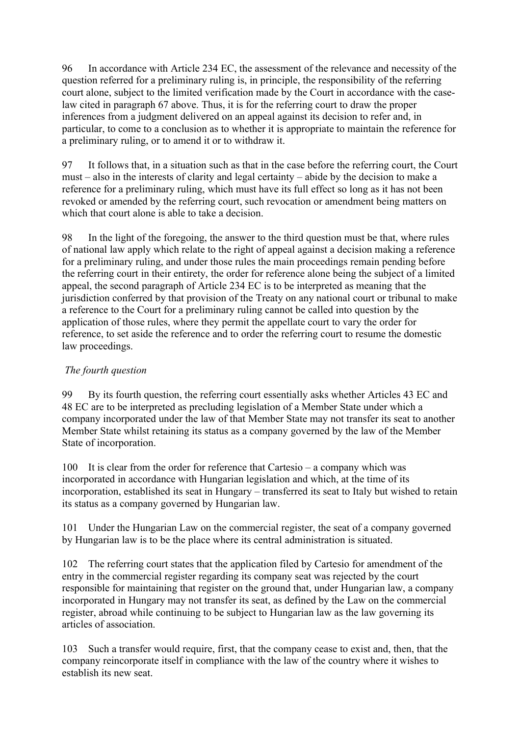96 In accordance with Article 234 EC, the assessment of the relevance and necessity of the question referred for a preliminary ruling is, in principle, the responsibility of the referring court alone, subject to the limited verification made by the Court in accordance with the caselaw cited in paragraph 67 above. Thus, it is for the referring court to draw the proper inferences from a judgment delivered on an appeal against its decision to refer and, in particular, to come to a conclusion as to whether it is appropriate to maintain the reference for a preliminary ruling, or to amend it or to withdraw it.

97 It follows that, in a situation such as that in the case before the referring court, the Court must – also in the interests of clarity and legal certainty – abide by the decision to make a reference for a preliminary ruling, which must have its full effect so long as it has not been revoked or amended by the referring court, such revocation or amendment being matters on which that court alone is able to take a decision.

98 In the light of the foregoing, the answer to the third question must be that, where rules of national law apply which relate to the right of appeal against a decision making a reference for a preliminary ruling, and under those rules the main proceedings remain pending before the referring court in their entirety, the order for reference alone being the subject of a limited appeal, the second paragraph of Article 234 EC is to be interpreted as meaning that the jurisdiction conferred by that provision of the Treaty on any national court or tribunal to make a reference to the Court for a preliminary ruling cannot be called into question by the application of those rules, where they permit the appellate court to vary the order for reference, to set aside the reference and to order the referring court to resume the domestic law proceedings.

### *The fourth question*

99 By its fourth question, the referring court essentially asks whether Articles 43 EC and 48 EC are to be interpreted as precluding legislation of a Member State under which a company incorporated under the law of that Member State may not transfer its seat to another Member State whilst retaining its status as a company governed by the law of the Member State of incorporation.

100 It is clear from the order for reference that Cartesio – a company which was incorporated in accordance with Hungarian legislation and which, at the time of its incorporation, established its seat in Hungary – transferred its seat to Italy but wished to retain its status as a company governed by Hungarian law.

101 Under the Hungarian Law on the commercial register, the seat of a company governed by Hungarian law is to be the place where its central administration is situated.

102 The referring court states that the application filed by Cartesio for amendment of the entry in the commercial register regarding its company seat was rejected by the court responsible for maintaining that register on the ground that, under Hungarian law, a company incorporated in Hungary may not transfer its seat, as defined by the Law on the commercial register, abroad while continuing to be subject to Hungarian law as the law governing its articles of association.

103 Such a transfer would require, first, that the company cease to exist and, then, that the company reincorporate itself in compliance with the law of the country where it wishes to establish its new seat.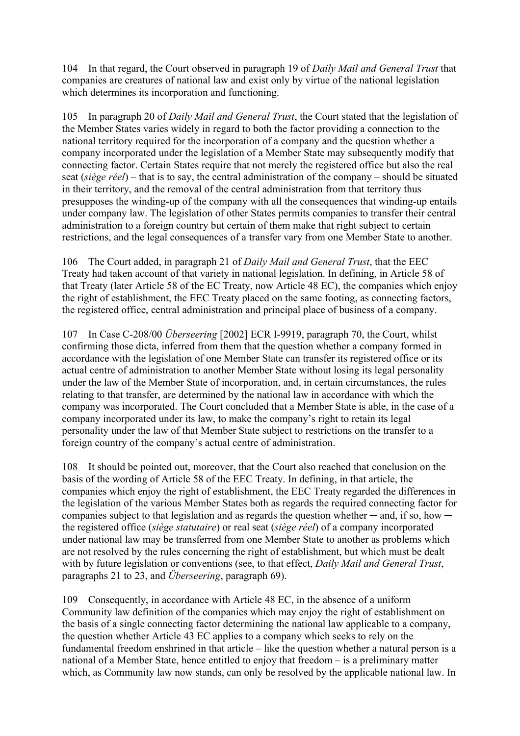104 In that regard, the Court observed in paragraph 19 of *Daily Mail and General Trust* that companies are creatures of national law and exist only by virtue of the national legislation which determines its incorporation and functioning.

105 In paragraph 20 of *Daily Mail and General Trust*, the Court stated that the legislation of the Member States varies widely in regard to both the factor providing a connection to the national territory required for the incorporation of a company and the question whether a company incorporated under the legislation of a Member State may subsequently modify that connecting factor. Certain States require that not merely the registered office but also the real seat (*siège réel*) – that is to say, the central administration of the company – should be situated in their territory, and the removal of the central administration from that territory thus presupposes the winding-up of the company with all the consequences that winding-up entails under company law. The legislation of other States permits companies to transfer their central administration to a foreign country but certain of them make that right subject to certain restrictions, and the legal consequences of a transfer vary from one Member State to another.

106 The Court added, in paragraph 21 of *Daily Mail and General Trust*, that the EEC Treaty had taken account of that variety in national legislation. In defining, in Article 58 of that Treaty (later Article 58 of the EC Treaty, now Article 48 EC), the companies which enjoy the right of establishment, the EEC Treaty placed on the same footing, as connecting factors, the registered office, central administration and principal place of business of a company.

107 In Case C-208/00 *Überseering* [2002] ECR I-9919, paragraph 70, the Court, whilst confirming those dicta, inferred from them that the question whether a company formed in accordance with the legislation of one Member State can transfer its registered office or its actual centre of administration to another Member State without losing its legal personality under the law of the Member State of incorporation, and, in certain circumstances, the rules relating to that transfer, are determined by the national law in accordance with which the company was incorporated. The Court concluded that a Member State is able, in the case of a company incorporated under its law, to make the company's right to retain its legal personality under the law of that Member State subject to restrictions on the transfer to a foreign country of the company's actual centre of administration.

108 It should be pointed out, moreover, that the Court also reached that conclusion on the basis of the wording of Article 58 of the EEC Treaty. In defining, in that article, the companies which enjoy the right of establishment, the EEC Treaty regarded the differences in the legislation of the various Member States both as regards the required connecting factor for companies subject to that legislation and as regards the question whether — and, if so, how the registered office (*siège statutaire*) or real seat (*siège réel*) of a company incorporated under national law may be transferred from one Member State to another as problems which are not resolved by the rules concerning the right of establishment, but which must be dealt with by future legislation or conventions (see, to that effect, *Daily Mail and General Trust*, paragraphs 21 to 23, and *Überseering*, paragraph 69).

109 Consequently, in accordance with Article 48 EC, in the absence of a uniform Community law definition of the companies which may enjoy the right of establishment on the basis of a single connecting factor determining the national law applicable to a company, the question whether Article 43 EC applies to a company which seeks to rely on the fundamental freedom enshrined in that article – like the question whether a natural person is a national of a Member State, hence entitled to enjoy that freedom – is a preliminary matter which, as Community law now stands, can only be resolved by the applicable national law. In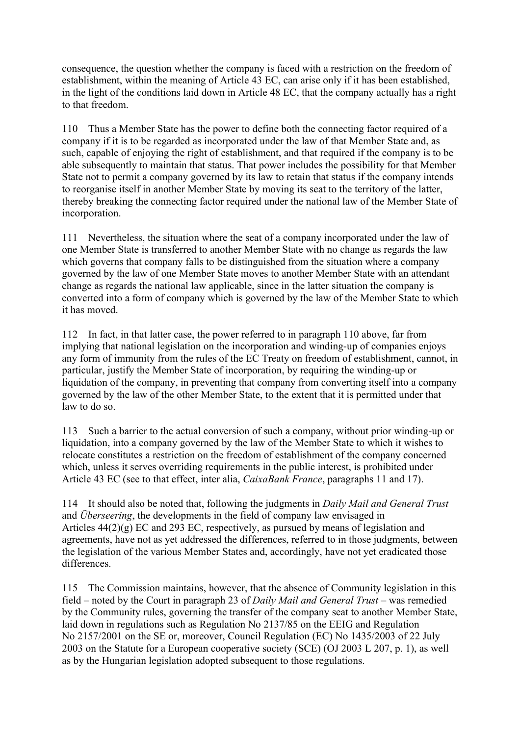consequence, the question whether the company is faced with a restriction on the freedom of establishment, within the meaning of Article 43 EC, can arise only if it has been established, in the light of the conditions laid down in Article 48 EC, that the company actually has a right to that freedom.

110 Thus a Member State has the power to define both the connecting factor required of a company if it is to be regarded as incorporated under the law of that Member State and, as such, capable of enjoying the right of establishment, and that required if the company is to be able subsequently to maintain that status. That power includes the possibility for that Member State not to permit a company governed by its law to retain that status if the company intends to reorganise itself in another Member State by moving its seat to the territory of the latter, thereby breaking the connecting factor required under the national law of the Member State of incorporation.

111 Nevertheless, the situation where the seat of a company incorporated under the law of one Member State is transferred to another Member State with no change as regards the law which governs that company falls to be distinguished from the situation where a company governed by the law of one Member State moves to another Member State with an attendant change as regards the national law applicable, since in the latter situation the company is converted into a form of company which is governed by the law of the Member State to which it has moved.

112 In fact, in that latter case, the power referred to in paragraph 110 above, far from implying that national legislation on the incorporation and winding-up of companies enjoys any form of immunity from the rules of the EC Treaty on freedom of establishment, cannot, in particular, justify the Member State of incorporation, by requiring the winding-up or liquidation of the company, in preventing that company from converting itself into a company governed by the law of the other Member State, to the extent that it is permitted under that law to do so.

113 Such a barrier to the actual conversion of such a company, without prior winding-up or liquidation, into a company governed by the law of the Member State to which it wishes to relocate constitutes a restriction on the freedom of establishment of the company concerned which, unless it serves overriding requirements in the public interest, is prohibited under Article 43 EC (see to that effect, inter alia, *CaixaBank France*, paragraphs 11 and 17).

114 It should also be noted that, following the judgments in *Daily Mail and General Trust* and *Überseering*, the developments in the field of company law envisaged in Articles 44(2)(g) EC and 293 EC, respectively, as pursued by means of legislation and agreements, have not as yet addressed the differences, referred to in those judgments, between the legislation of the various Member States and, accordingly, have not yet eradicated those differences.

115 The Commission maintains, however, that the absence of Community legislation in this field – noted by the Court in paragraph 23 of *Daily Mail and General Trust* – was remedied by the Community rules, governing the transfer of the company seat to another Member State, laid down in regulations such as Regulation No 2137/85 on the EEIG and Regulation No 2157/2001 on the SE or, moreover, Council Regulation (EC) No 1435/2003 of 22 July 2003 on the Statute for a European cooperative society (SCE) (OJ 2003 L 207, p. 1), as well as by the Hungarian legislation adopted subsequent to those regulations.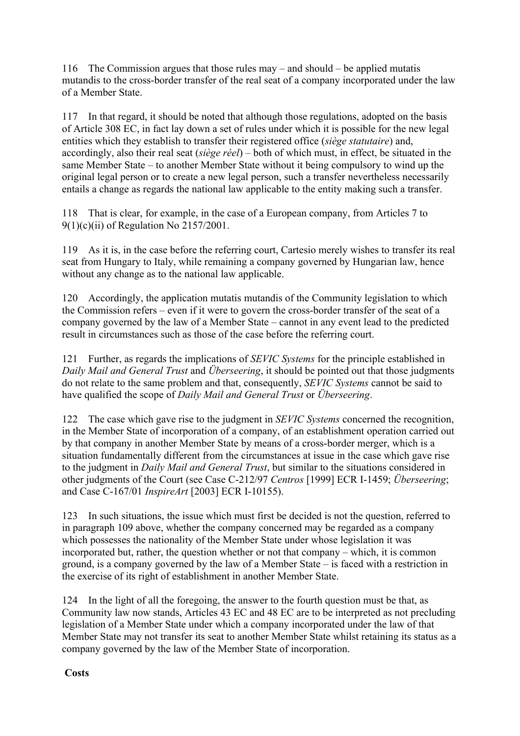116 The Commission argues that those rules may – and should – be applied mutatis mutandis to the cross-border transfer of the real seat of a company incorporated under the law of a Member State.

117 In that regard, it should be noted that although those regulations, adopted on the basis of Article 308 EC, in fact lay down a set of rules under which it is possible for the new legal entities which they establish to transfer their registered office (*siège statutaire*) and, accordingly, also their real seat (*siège réel*) – both of which must, in effect, be situated in the same Member State – to another Member State without it being compulsory to wind up the original legal person or to create a new legal person, such a transfer nevertheless necessarily entails a change as regards the national law applicable to the entity making such a transfer.

118 That is clear, for example, in the case of a European company, from Articles 7 to 9(1)(c)(ii) of Regulation No 2157/2001.

119 As it is, in the case before the referring court, Cartesio merely wishes to transfer its real seat from Hungary to Italy, while remaining a company governed by Hungarian law, hence without any change as to the national law applicable.

120 Accordingly, the application mutatis mutandis of the Community legislation to which the Commission refers – even if it were to govern the cross-border transfer of the seat of a company governed by the law of a Member State – cannot in any event lead to the predicted result in circumstances such as those of the case before the referring court.

121 Further, as regards the implications of *SEVIC Systems* for the principle established in *Daily Mail and General Trust* and *Überseering*, it should be pointed out that those judgments do not relate to the same problem and that, consequently, *SEVIC Systems* cannot be said to have qualified the scope of *Daily Mail and General Trust* or *Überseering*.

122 The case which gave rise to the judgment in *SEVIC Systems* concerned the recognition, in the Member State of incorporation of a company, of an establishment operation carried out by that company in another Member State by means of a cross-border merger, which is a situation fundamentally different from the circumstances at issue in the case which gave rise to the judgment in *Daily Mail and General Trust*, but similar to the situations considered in other judgments of the Court (see Case C-212/97 *Centros* [1999] ECR I-1459; *Überseering*; and Case C-167/01 *InspireArt* [2003] ECR I-10155).

123 In such situations, the issue which must first be decided is not the question, referred to in paragraph 109 above, whether the company concerned may be regarded as a company which possesses the nationality of the Member State under whose legislation it was incorporated but, rather, the question whether or not that company – which, it is common ground, is a company governed by the law of a Member State – is faced with a restriction in the exercise of its right of establishment in another Member State.

124 In the light of all the foregoing, the answer to the fourth question must be that, as Community law now stands, Articles 43 EC and 48 EC are to be interpreted as not precluding legislation of a Member State under which a company incorporated under the law of that Member State may not transfer its seat to another Member State whilst retaining its status as a company governed by the law of the Member State of incorporation.

**Costs**